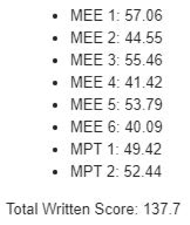$\bullet$  MFF 1:57.06 • MEE 2:44 55  $\bullet$  MFF 3:55.46 • MFF  $4:4142$ • MEE 5: 53.79 • MEE 6:40.09 • MPT 1:49 42 • MPT  $2:52.44$ 

Total Written Score: 137.7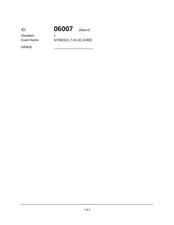| ID:        | 06007                 | $(Seat \#)$ |
|------------|-----------------------|-------------|
| Question:  |                       |             |
| Exam Name: | NYSBOLE 7-24-18 6-MEE |             |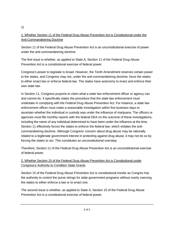## 1)

# 1. Whether Section 11 of the Federal Drug Abuse Prevention Act is Constitutional under the Anti-Commandeering Doctrine

Section 11 of the Federal Drug Abuse Prevention Act is an unconstitutional exercise of power under the anti-commandeering doctrine.

The first issue is whether, as applied to State A, Section 11 of the Federal Drug Abuse Prevention Act is a constitutional exercise of federal power.

Congress's power to legislate is broad. However, the Tenth Amendment reserves certain power to the states, and Congress may not, under the anti-commandeering doctrine, force the states to either enact law or enforce federal law. The states have autonomy to enact and enforce their own state law.

In Section 11, Congress purports to claim what a state law enforcement officer or agency can and cannot do. It specifically states the procedure that the state law enforcement must undertake in complying with the Federal Drug Abuse Prevention Act. For instance, a state law enforcement officer must make a reasonable investigation within five business days to ascertain whether the individual in custody was under the influence of marijuana. The officers or agencies must file monthly reports with the federal DEA on the outcome of these investigations, including the name of any individual determined to have been under the influence at the time. Section 11 effectively forces the states to enforce the federal law, which violates the anticommandeering doctrine. Although Congress' concern about drug abuse may be rationally related to a legitimate government interest in protecting against drug abuse, it may not do so by forcing the states to act. This constitutes an unconstitutional overstep.

Therefore, Section 11 of the Federal Drug Abuse Prevention Act is an unconstitutional exercise of federal power.

# 2. Whether Section 15 of the Federal Drug Abuse Prevention Act is Constitutional under Congress's Authority to Condition State Grants

Section 15 of the Federal Drug Abuse Prevention Act is constitutional insofar as Congres has the authority to control the purse strings for state government programs without overly coercing the states to either enforce a law or to enact one.

The second issue is whether, as applied to State A, Section 15 of the Federal Drug Abuse Prevention Act is a constitutional exercise of federal power.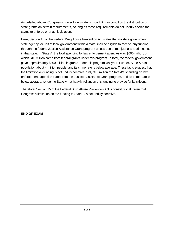As detailed above, Congress's power to legislate is broad. It may condition the distribution of state grants on certain requirements, so long as these requirements do not unduly coerce the states to enforce or enact legislation.

Here, Section 15 of the Federal Drug Abuse Prevention Act states that no state government, state agency, or unit of local government within a state shall be eligible to receive any funding through the federal Justice Assistance Grant program unless use of marijuana is a criminal act in that state. In State A, the total spending by law enforcement agencies was \$600 million, of which \$10 million came from federal grants under this program. In total, the federal government gave approximately \$300 million in grants under this program last year. Further, State A has a population about 4 million people, and its crime rate is below average. These facts suggest that the limitation on funding is not unduly coercive. Only \$10 million of State A's spending on law enforcement agencies came from the Justice Assistance Grant program, and its crime rate is below average, rendering State A not heavily reliant on this funding to provide for its citizens.

Therefore, Section 15 of the Federal Drug Abuse Prevention Act is constitutional, given that Congress's limitation on the funding to State A is not unduly coercive.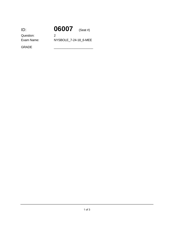| ID:        | 06007                 | (Seat #) |
|------------|-----------------------|----------|
| Question:  | 2                     |          |
| Exam Name: | NYSBOLE 7-24-18 6-MEE |          |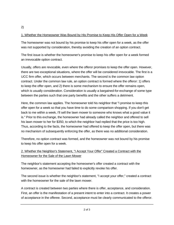# 1. Whether the Homeowner Was Bound by His Promise to Keep His Offer Open for a Week

The homeowner was not bound by his promise to keep his offer open for a week, as the offer was not supported by consideration, thereby avoiding the creation of an option contract.

The first issue is whether the homeowner's promise to keep his offer open for a week formed an irrevocable option contract.

Usually, offers are revocable, even where the offeror promises to keep the offer open. However, there are two exceptional situations, where the offer will be considered irrevocable. The first is a UCC firm offer, which occurs between merchants. The second is the common law option contract. Under the common law rule, an option contract is formed where the offeror: 1) offers to keep the offer open, and 2) there is some mechanism to ensure the offer remains open, which is usually consideration. Consideration is usually a bargained-for-exchange of some type between the parties such that one party benefits and the other suffers a detriment.

Here, the common law applies. The homeowner told his neighbor that "I promise to keep this offer open for a week so that you have time to do some comparison shopping. If you don't get back to me within a week, I'll sell the lawn mower to someone who knows what a good value it is." Prior to this exchange, the homeowner had already called the neighbor and offered to sell his lawn mower to her for \$350, to which the neighbor had replied that the price is too high. Thus, according to the facts, the homeowner had offered to keep the offer open, but there was no mechanism of subsequently enforcing the offer, as there was no additional consideration.

Therefore, no option contract was formed, and the homeowner was not bound by his promise to keep his offer open for a week.

# 2. Whether the Neighbor's Statement, "I Accept Your Offer" Created a Contract with the Homeowner for the Sale of the Lawn Mower

The neighbor's statement accepting the homeowner's offer created a contract with the homeowner, as the homeowner had failed to explicitly revoke his offer.

The second issue is whether the neighbor's statement, "I accept your offer," created a contract with the homeowner for the sale of the lawn mower.

A contract is created between two parties where there is offer, acceptance, and consideration. First, an offer is the manifestation of a present intent to enter into a contract. It creates a power of acceptance in the offeree. Second, acceptance must be clearly communicated to the offeror.

2)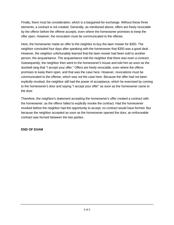Finally, there must be consideration, which is a bargained-for-exchange. Without these three elements, a contract is not created. Generally, as mentioned above, offers are freely revocable by the offeror before the offeree accepts, even where the homeowner promises to keep the offer open. However, the revocation must be communicated to the offeree.

Here, the homeowner made an offer to the neighbor to buy the lawn mower for \$350. The neighbor concluded four days after speaking with the homeowner that \$350 was a good deal. However, the neighbor unfortunately learned that the lawn mower had been sold to another person, the acquaintance. The acquaintance told the neighbor that there was even a contract. Subsequently, the neighbor then went to the homeowner's house and told him as soon as the doorbell rang that "I accept your offer." Offers are freely revocable, even where the offeror promises to keep them open, and that was the case here. However, revocations must be communicated to the offeree, which was *not* the case here. Because the offer had not been explicitly revoked, the neighbor still had the power of acceptance, which he exercised by coming to the homeowner's door and saying "I accept your offer" as soon as the homeowner came to the door.

Therefore, the neighbor's statement accepting the homeowner's offer created a contract with the homeowner, as the offeror failed to explicitly revoke the contract. Had the homeowner revoked before the neighbor had the opportunity to accept, no contract would have formed. But because the neighbor accepted as soon as the homeowner opened the door, an enforceable contract was formed between the two parties.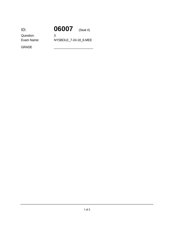|                       | $(Seat \#)$ |
|-----------------------|-------------|
| З                     |             |
| NYSBOLE 7-24-18 6-MEE |             |
|                       | 06007       |

dispute must be specific identified, and the price must be clearly designated. Where the price must be clearly designated. Where the price must be clearly designated. Where the price must be considered. Where the price mu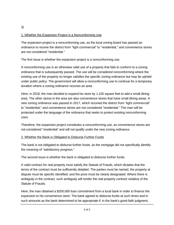## 1. Whether the Expansion Project is a Nonconforming Use

The expansion project is a nonconforming use, as the local zoning board has passed an ordinance to rezone the district from "light commercial" to "residential," and convenience stores are not considered "residential."

The first issue is whether the expansion project is a nonconforming use.

A nonconforming use is an otherwise valid use of a property that fails to conform to a zoning ordinance that is subsequently passed. The use will be considered nonconforming where the existing use of the property no longer satisfies the specific zoning ordinance but may be upheld under public policy. The government will allow a nonconforming use to continue for a temporary duration where a zoning ordinance rezones an area.

Here, in 2018, the man decided to expand his store by 1,100 square feet to add a small dining area. The other stores in the area are also convenience stores that have small dining areas. A new zoning ordinance was passed in 2017, which rezoned the district from "light commercial" to "residential," and convenience stores are not considered "residential." The man will be protected under the language of the ordinance that seeks to protect existing nonconforming uses.

Therefore, the expansion project constitutes a nonconforming use, as convenience stores are not considered "residential" and will not qualify under the new zoning ordinance.

### 2. Whether the Bank is Obligated to Disburse Further Funds

The bank is not obligated to disburse further funds, as the mortgage did not specifically identify the meaning of "satisfactory progress."

The second issue is whether the bank is obligated to disburse further funds.

A valid contract for real property must satisfy the Statute of Frauds, which dictates that the terms of the contract must be sufficiently detailed. The parties must be named, the property at dispute must be specific identified, and the price must be clearly designated. Where there is ambiguity in the contract, such ambiguity will render the real property contract violative of the Statute of Frauds.

Here, the man obtained a \$200,000 loan commitment from a local bank in order to finance the expansion to his convenience store. The bank agreed to disburse funds at such times and in such amounts as the bank determined to be appropriate if, in the bank's good-faith judgment,

there was "satisfactory progress" being made on the project. The meaning of  $\sigma$  good faithful faithful faithful faithful faithful faithful faithful faithful faithful faithful faithful faithful faithful faithful faithful

3)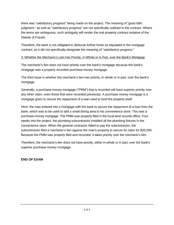there was "satisfactory progress" being made on the project. The meaning of "good faith judgment," as well as "satisfactory progress" are not specifically outlined in the contract. Where the terms are ambiguous, such ambiguity will render the real property contract violative of the Statute of Frauds.

Therefore, the bank is not obligated to disburse further funds as stipulated in the mortgage contract, as it did not specifically designate the meaning of "satisfactory progress."

### 3. Whether the Mechanic's Lien has Priority, in Whole or in Part, over the Bank's Mortgage

The mechanic's lien does not have priority over the bank's mortgage because the bank's mortgage was a properly recorded purchase-money mortgage.

The third issue is whether the mechanic's lien has priority, in whole or in part, over the bank's mortgage.

Generally, a purchase-money mortgage ("PMM") that is recorded will have superior priority over any other claim, even those that were recorded previously. A purchase money mortgage is a mortgage given to secure the repayment of a loan used to fund the property itself.

Here, the man entered into a mortgage with the bank to secure the repayment of a loan from the bank, which was to be used to add a small dining area to his convenience store. This was a purchase-money mortgage. The PMM was properly filed in the local land records office. Four weeks into the project, the plumbing subcontractor installed all the plumbing fixtures in the convenience store. When the general contractor failed to pay the subcontractor, the subcontractor filed a mechanic's lien against the man's property to secure its claim for \$20,000. Because the PMM was properly filed and recorded, it takes priority over the mechanic's lien.

Therefore, the mechanic's lien does not have priority, either in whole or in part, over the bank's superior purchase-money mortgage.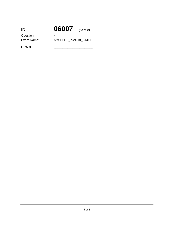| ID:        | 06007                 | (Seat #) |
|------------|-----------------------|----------|
| Question:  |                       |          |
| Exam Name: | NYSBOLE 7-24-18 6-MEE |          |

Therefore, for the foregoing reasons, the trustee violated both his duty of  $c$  care and  $\eta$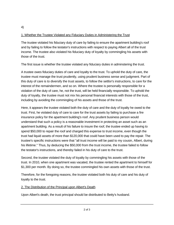# 1. Whether the Trustee Violated any Fiduciary Duties in Administering the Trust

The trustee violated his fiduciary duty of care by failing to ensure the apartment building's roof and by failing to follow the testator's instructions with respect to paying Albert all of the trust income. The trustee also violated his fiduciary duty of loyalty by commingling his assets with those of the trust.

The first issue is whether the trustee violated any fiduciary duties in adminstering the trust.

A trustee owes fiduciary duties of care and loyalty to the trust. To uphold the duty of care, the trustee must manage the trust prudently, using prudent business sense and judgment. Part of this duty of care is to diversify the trust assets, to follow the settlor's instructions, to care for the interest of the remaindermen, and so on. Where the trustee is personally responsible for a violation of the duty of care, he, not the trust, will be held financially responsible. To uphold the duty of loyalty, the trustee must not mix his personal financial interests with those of the trust, including by avoiding the commingling of his assets and those of the trust.

Here, it appears the trustee violated both the duty of care and the duty of loyalty he owed to the trust. First, he violated duty of care to care for the trust assets by failing to purchase a fire insurance policy for the apartment building's roof. Any prudent business person would understand that such a policy is a reasonable investment in protecting an asset such as an apartment building. As a result of his failure to insure the roof, the trustee ended up having to spend \$50,000 to repair the roof and charged this expense to trust income, even though the trust had liquid assets of more than \$120,000 that could have been used to pay the repair. The trustee's specific instructions were that "all trust income will be paid to my cousin, Albert, during his lifetime." Thus, by deducing the \$50,000 from the trust income, the trustee failed to follow the testator's instructions, and thereby failed in his duty of care to the trust.

Second, the trustee violated the duty of loyalty by commingling his assets with those of the trust. In 2010, when one apartment was vacated, the trustee rented the apartment to himself for \$1,300 per month. By doing so, the trustee commingled his own assets with those of the trust.

Therefore, for the foregoing reasons, the trustee violated both his duty of care and his duty of loyalty to the trust.

### 2. The Distribution of the Principal upon Albert's Death

Upon Albert's death, the trust principal should be distributed to Betty's husband.

4)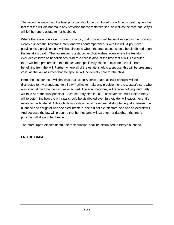The second issue is how the trust principal should be distributed upon Albert's death, given the fact that the will did not make any provision for the testator's son, as well as the fact that Betty's will left her entire estate to her husband.

Where there is a pour-over provision in a will, that provision will be valid so long as the provision clearly evinces the Testator's intent and was contemporaneous with the will. A pour-over provision is a provision in a will that directs to whom the trust assets should be distributed upon the testator's death. The law respects testators' explicit wishes, even where the testator excludes children as beneficiaries. Where a child is alive at the time that a will is executed, there will be a presumption that the testator specifically chose to exclude the child from benefitting from the will. Further, where all of the estate is left to a spouse, this will be presumed valid, as the law assumes that the spouse will incidentally care for the child.

Here, the testator left a will that said that "upon Albert's death, all trust principal will be distributed to my granddaughter, Betty," failing to make any provision for the testator's son, who was living at the time the will was executed. The son, therefore, will receive nothing, and Betty will take all of the trust principal. Because Betty died in 2013, however, we must look to Betty's will to determine how the principal should be distributed even further. Her will leaves her entire estate to her husband. Although Betty's estate would have been distributed equally between her husband and daughter had she died intestate, she did not die intestate; she had an explicit will. And because the law will presume that her husband will care for her daughter, the trust's principal will all go to her husband.

Therefore, upon Albert's death, the trust principal shall be distributed to Betty's husband.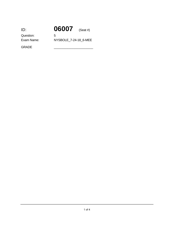| ID:        | 06007                 | (Seat #) |
|------------|-----------------------|----------|
| Question:  | 5                     |          |
| Exam Name: | NYSBOLE 7-24-18 6-MEE |          |

business record has personal experience dealing with that record.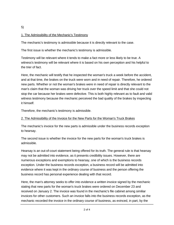### 5)

### 1. The Admissibility of the Mechanic's Testimony

The mechanic's testimony is admissible because it is directly relevant to the case.

The first issue is whether the mechanic's testimony is admissible.

Testimony will be relevant where it tends to make a fact more or less likely to be true. A witness's testimony will be relevant where it is based on his own perception and his helpful to the trier of fact.

Here, the mechanic will testify that he inspected the woman's truck a week before the accident, and at that time, the brakes on the truck were worn and in need of repair. Therefore, he ordered new parts. Whether or not the woman's brakes were in need of repair is directly relevant to the man's claim that the woman was driving her truck over the speed limit and that she could not stop the car because her brakes were defective. This is both highly relevant as to fault and valid witness testimony because the mechanic perceived the bad quality of the brakes by inspecting it himself.

Therefore, the mechanic's testimony is admissible.

# 2. The Admissibility of the Invoice for the New Parts for the Woman's Truck Brakes

The mechanic's invoice for the new parts is admissible under the business records exception to hearsay.

The second issue is whether the invoice for the new parts for the woman's truck brakes is admissible.

Hearsay is an out-of-court statement being offered for its truth. The general rule is that hearsay may not be admitted into evidence, as it presents credibility issues. However, there are numerous exceptions and exemptions to hearsay, one of which is the business records exception. Under the business records exception, a business record will be admitted into evidence where it was kept in the ordinary course of business and the person offering the business record has personal experience dealing with that record.

Here, the man's attorney seeks to offer into evidence a written invoice signed by the mechanic stating that new parts for the woman's truck brakes were ordered on December 23 and received on January 2. The invoice was found in the mechanic's file cabinet among similiar invoices for other customers. Such an invoice falls into the business records exception, as the mechanic recorded the invoice in the ordinary course of business, as evinced, in part, by the

fact that it was kept in the cabine with other similar invoices. Although the invoice would be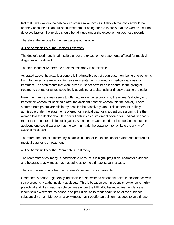fact that it was kept in the cabine with other similar invoices. Although the invoice would be hearsay because it is an out-of-court statement being offered to show that the woman's car had defective brakes, the invoice should be admitted under the exception for business records.

Therefore, the invoice for the new parts is admissible.

### 3. The Admissibility of the Doctor's Testimony

The doctor's testimony is admissible under the exception for statements offered for medical diagnosis or treatment.

The third issue is whether the doctor's testimony is admissible.

As stated above, hearsay is a generally inadmissible out-of-court statement being offered for its truth. However, one exception to hearsay is statements offered for medical diagnosis or treatment. The statements that were given must not have been incidental to the giving of treatment, but rather aimed specifically at arriving at a diagnosis or directly treating the patient.

Here, the man's attorney seeks to offer into evidence testimony by the woman's doctor, who treated the woman for neck pain after the accident, that the woman told the doctor, "I have suffered from painful arthritis in my neck for the past five years." This statement is likely admissible under the statements offered for medical diagnosis exception, assuming the the woman told the doctor about her painful arthritis as a statement offered for medical diagnosis, rather than in contemplation of litigation. Because the woman did not include facts about the accident, one could assume that the woman made the statement to facilitate the giving of medical treatment.

Therefore, the doctor's testimony is admissible under the exception for statements offered for medical diagnosis or treatment.

### 4. The Admissibility of the Roommate's Testimony

The roommate's testimony is inadmissible because it is highly prejudicial character evidence, and because a lay witness may not opine as to the ultimate issue in a case.

The fourth issue is whether the rommate's testimony is admissible.

Character evidence is generally indmissible to show that a defendant acted in accordance with some propensity at the incident at dispute. This is because such propensity evidence is highly prejudicial and likely inadmissible because under the FRE 403 balancing test, evidence is inadmissible where the evidence is so prejudicial as to render admission of the evidence substantially unfair. Moreover, a lay witness may not offer an opinion that goes to an ultimate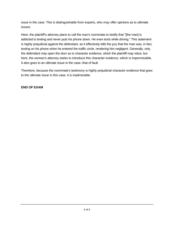issue in the case. This is distinguishable from experts, who *may* offer opinions as to ultimate issues.

Here, the plaintiff's attorney plans to call the man's roommate to testify that "[the man] is addicted to texting and never puts his phone down. He even texts while driving." This statement is *highly* prejudicial against the defendant, as it effectively tells the jury that the man was, in fact, texting on his phone when he entered the traffic circle, rendering him negligent. Generally, only the defendant may open the door as to character evidence, which the plaintiff may rebut, but here, the woman's attorney seeks to introduce this character evidence, which is impermissible. It also goes to an ultimate issue in the case--that of fault.

Therefore, because the roommate's testimony is highly prejudicial character evidence that goes to the ultimate issue in this case, it is inadmissible.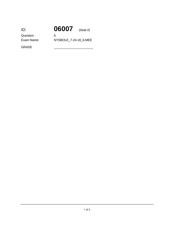| ID:        | 06007                 | (Seat #) |
|------------|-----------------------|----------|
| Question:  | 6                     |          |
| Exam Name: | NYSBOLE_7-24-18_6-MEE |          |

prudently in making business decisions on behalf of the corporation.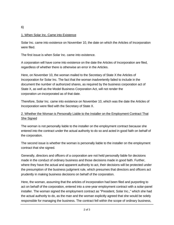### 6)

### 1. When Solar Inc. Came into Existence

Solar Inc. came into existence on November 10, the date on which the Articles of Incorporation were filed.

The first issue is when Solar Inc. came into existence.

A corporation will have come into existence on the date the Articles of Incorporation are filed, regardless of whether there is otherwise an error in the Articles.

Here, on November 10, the woman mailed to the Secretary of State X the Articles of Incorporation for Solar Inc. The fact that the woman inadvertently failed to include in the document the number of authorized shares, as required by the business corporation act of State X, as well as the Model Business Corporation Act, will not render the corporation *un-*incorporated as of that date.

Therefore, Solar Inc. came into existence on November 10, which was the date the Articles of Incorporation were filed with the Secretary of State X.

# 2. Whether the Woman is Personally Liable to the Installer on the Employment Contract That She Signed

The woman is not personally liable to the installer on the employment contract because she entered into the contract under the actual authority to do so and acted in good faith on behalf of the corporation.

The second issue is whether the woman is personally liable to the installer on the employment contract that she signed.

Generally, directors and officers of a corporation are not held personally liable for decisions made in the conduct of ordinary business and those decisions made in good faith. Further, where they have the actual and apparent authority to act, their decisions will be protected under the presumption of the business judgment rule, which presumes that directors and officers act prudently in making business decisions on behalf of the corporation.

Here, the woman, assuming that the articles of incorporation had been filed and purporting to act on behalf of the corporation, entered into a one-year employment contract with a solar-panel installer. The woman signed the employment contract as "President, Solar Inc.," which she had the actual authority to do, as the man and the woman explicitly agreed that she would be solely responsible for managing the business. The contract fell within the scope of ordinary business,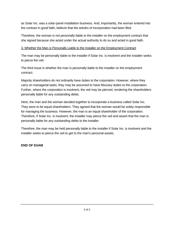as Solar Inc. was a solar-panel installation business. And, importantly, the woman entered into the contract in good faith, believin that the articles of incorporation had been filed.

Therefore, the woman is not personally liable to the installer on the employment contract that she signed because she acted under the actual authority to do so and acted in good faith.

#### 3. Whether the Man is Personally Liable to the Installer on the Employment Contract

The man may be personally liable to the installer if Solar Inc. is insolvent and the installer seeks to pierce the veil.

The third issue is whether the man is personally liable to the installer on the employment contract.

Majority shareholders do not ordinarily have duties to the corporation. However, where they carry on managerial tasks, they may be assumed to have fiduciary duties to the corporation. Further, where the corporation is insolvent, the veil may be pierced, rendering the shareholders personally liable for any outstanding debts.

Here, the man and the woman decided together to incorporate a business called Solar Inc. They were to be equal shareholders. They agreed that the woman would be solely responsible for managing the business. However, the man is an equal shareholder of the corporation. Therefore, if Solar Inc. is insolvent, the installer may pierce the veil and assert that the man is personally liable for any outstanding debts to the installer.

Therefore, the man may be held personally liable to the installer if Solar Inc. is insolvent and the installer seeks to pierce the veil to get to the man's personal assets.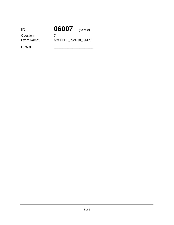| ID:        | 06007                 | $(Seat \#)$ |
|------------|-----------------------|-------------|
| Question:  |                       |             |
| Exam Name: | NYSBOLE 7-24-18 2-MPT |             |
|            |                       |             |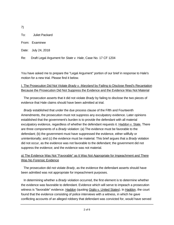7)

To: Juliet Packard

From: Examinee

Date: July 24, 2018

Re: Draft Legal Argument for *State v. Hale*, Case No. 17 CF 1204

You have asked me to prepare the "Legal Argument" portion of our brief in response to Hale's motion for a new trial. Please find it below.

## I. The Prosecution Did Not Violate *Brady v. Maryland* by Failing to Disclose Reed's Recantation Because the Prosecution Did Not Suppress the Evidence and the Evidence Was Not Material

 The prosecution asserts that it did not violate *Brady* by failing to disclose the two pieces of evidence that Hale claims should have been admitted at trial.

 *Brady* established that under the due process clause of the Fifth and Fourteenth Amendments, the prosecution must not suppress any exculpatory evidence. Later opinions established that the government's burden is to provide the defendant with all material exculpatory evidence, regardless of whether the defendant requests it. Haddon v. State. There are three components of a *Brady* violation: (a) The evidence must be favorable to the defendant; (b) the government must have suppressed the evidence, either willfully or unintentionally; and (c) the evidence must be material. This brief argues that a *Brady* violation did not occur, as the evidence was not favorable to the defendant; the government did not suppress the evidence; and the evidence was not material.

# a) The Evidence Was Not "Favorable" as It Was Not Appropriate for Impeachment and There Was No Forensic Evidence

 The prosecution did not violate *Brady*, as the evidence the defendant asserts should have been admitted was not appropriate for impeachment purposes.

 In determining whether a *Brady* violation occurred, the first element is to determine whether the evidence was favorable to defendant. Evidence which will serve to impeach a prosecution witness is "favorable" evidence. Haddon (quoting Giglio v. United States). In Haddon, the court found that the evidence consisting of police interviews with a witness, in which he gave conflicting accounts of an alleged robbery that defendant was convicted for, would have served

to impeach that witness and was therefore favorable to Haddon. It would have benefitted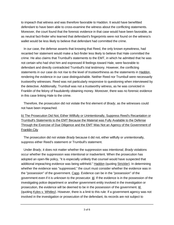to impeach that witness and was therefore favorable to Haddon. It would have benefitted defendant to have been able to cross-examine the witness about the conflicting statements. Moreover, the court found that the forensic evidence in that case would have been favorable, as as neutral fact-finder who learned that defendant's fingerprints were not found on the witness's wallet would be less likely to believe that defendant had committed the crime.

 In our case, the defense asserts that knowing that Reed, the only known eyewitness, had recanted her statement would make a fact-finder less likely to believe that Hale committed the crime. He also claims that Trumbull's statements to the EMT, in which he admitted that he was not certain who had shot him and expressed ill feelings toward Hale, were favorable to defendant and directly contradicted Trumbull's trial testimony. However, the conflicting statements in our case do not rise to the level of trustworthiness as the statements in Haddon, rendering the evidence in our case distinguishable. Neither Reed nor Trumbull were necessarily trustworthy witnesses. Reed was not particularly responsive to questioning when interviewed by the detective. Additionally, Trumbull was not a trustworthy witness, as he was convicted in Franklin of the felony of fraudulently obtaining money. Moreover, there was no forensic evidence in this case linking Hale to the crime.

 Therefore, the prosecution did not violate the first element of *Brady*, as the witnesses could not have been impeached.

b) The Prosecution Did Not, Either Willfully or Unintentionally, Suppress Reed's Recantation or Trumbull's Statements to the EMT Because the Material was Fully Available to the Defense Through the Exercise of Due Diligence and the EMT Was Not an Agency of the Government of Franklin City

 The prosecution did not violate *Brady* because it did not, either willfully or unintentionally, suppress either Reed's statement or Trumbull's statement.

 Under *Brady*, it does not matter whether the suppression was intentional; *Brady* violations occur whether the suppression was intentional or inadvertent. When the prosecution has adopted an open-file policy, "it is especially unlikely that counsel would have suspected that additional impeaching evidence was being withheld." Haddon (quoting Strickler). In determining whether the evidence was "suppressed," the court must consider whether the evidence was in the "possession" of the government. Capp. Evidence can be in the "possession" of the government even if it is unknown to the prosecutor.  $\mathbf{d}$ . If the evidence is in the possession of the investigating police department or another government entity involved in the investigation or prosecution, the evidence will be deemed to be in the possession of the government.  $\underline{Id}$ . (quoting Kyles v. Whitley). However, there is a limit to this rule: If a government agency was not involved in the investigation or prosecution of the defendant, its records are not subject to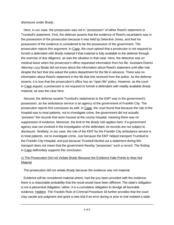#### disclosure under *Brady*.

 Here, in our case, the prosecution was not in "possession" of either Reed's statement or Trumbull's statement. First, the defense asserts that the evidence of Reed's recantation was in the possession of the prosecution because it was held by Detective Jones, and that his possession of the evidence is considered to be the possession of the government. The prosecution rejects this argument. In Capp, the court opined that a prosecutor is not required to furnish a defendant with *Brady* material if that material is fully available to the defense through the exercise of due diligence, as was the situation in that case. Here, the detective was on medical leave when the prosecutor's office requested information from his file. Assistant District Attorney Lucy Beale did not know about the information about Reed's statement until after trial, despite the fact that she asked the police department for the file in advance. There was no information about Reed's statement in the file that she received from the police. As the defense asserts, it is true that the prosecution's office has an "open file" policy. However, as the court in Capp argued, a prosecutor is not required to furnish a defendant with readily available *Brady* material, as was the case here.

 Second, the defense asserts Trumbull's statements to the EMT was in the government's possession, as the ambulance service is an agency of the government of Franklin City. The prosecution rejects this conclusion as well. In Capp, the court found that because the role of the hospital was to treat patients, not to investigate crime, the government did not actually "possess" the records that were housed at the county hospital, meaning there was no suppression of evidence. Moreover, the limit to the *Brady* rule applies here: If a government agency was not involved in the investigation of the defendant, its records are not subject to disclosure. Similarly, in our case, the role of the EMT for the Franklin City ambulance service is to treat patients, not to investigate crime. Just because the EMT helped transport Trumbull to the Franklin City Hospital, and just because Trumbull blurted out a statement during this transport does not mean that the government thereby "possesses" such a record. The finding in Capp definivitely supports this conclusion.

## c) The Prosecution Did not Violate *Brady* Because the Evidence Hale Points to Was Not Material

The prosecution did not violate *Brady* because the evidence was not material.

 Evidence will be considered material where, had the jury been provided with the evidence, there is a reasonable probability that the result would have been different. The state's obligation is not a piecemeal obligation; rather, it is a cumulative obligation to divulge all favorable evidence. Haddon. The Franklin Rule of Criminal Procedure 33 further provides that the court may vacate any judgment and grant a new trial if an error during or prior to trial violated a state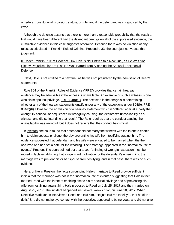or federal constitutional provision, statute, or rule, and if the defendant was prejudiced by that error.

 Although the defense asserts that there is more than a reasonable probability that the result at trial would have been different had the defendant been given all of the suppressed evidence, the cumulative evidence in this case suggests otherwise. Because there was no violation of any rules, as stipulated in Franklin Rule of Criminal Proceudre 33, the court just not vacate this judgment.

# II. Under Franklin Rule of Evidence 804, Hale is Not Entitled to a New Trial, as He Was Not Clearly Prejudiced by Error, as He Was Barred from Asserting the Spousal Testimonial Defense

 Next, Hale is not entitled to a new trial, as he was not prejudiced by the admission of Reed's statements.

 Rule 804 of the Franklin Rules of Evidence ("FRE") provides that certain hearsay evidence may be admissible if the witness is unavailable. An example of such a witness is one who claim spousal privilege. FRE  $804(a)(1)$ . The next step in the analysis is determining whether any of the hearsay statements qualify under any of the exceptions under 804(b). FRE 804(b)(6) allows for the admission of a hearsay statement which is "offered against a party that wrongfully caused--or acquiesced in wrongfully causing--the declarant's unavailability as a witness, and did so intending that result." The Rule requires that the conduct causing the unavailability was wrongful, but it does not require that the conduct be criminal.

 In Preston, the court found that defendant did not marry the witness with the intent to enable him to claim spousal privilege, thereby preventing his wife from testifying against him. The evidence suggested that defendant and his wife were engaged to be married when the theft occurred and had set a date for the wedding. Their marriage appeared in the "normal course of events." Preston. The court pointed out that a court's finding of wrongful causation must be rooted in facts establishing that a significant motivation for the defendant's entering into the marriage was to prevent his or her spouse from testifying, and in that case, there was no such evidence.

 Here, unlike in Preston, the facts surrounding Hale's marriage to Reed provide sufficient indicia that the marriage was not in the "normal course of events," suggesting that Hale in fact married Reed with the intent of enabling him to claim spousal privilege and of preventing his wife from testifying against him. Hale proposed to Reed on July 25, 2017 and they married on August 25, 2017. The incident happened just several weeks prior, on June 20, 2017. When Detective Mark Jones interviewed Reed, she told him, "He just told me to tell you that he didn't do it." She did not make eye contact with the detective, appeared to be nervous, and did not give

a conclusive answer when the detective asked her when the detective asked her when  $\alpha$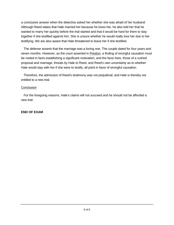a conclusive answer when the detective asked her whether she was afraid of her husband Although Reed states that Hale married her because he loves her, he also told her that he wanted to marry her quickly before the trial started and that it would be hard for them to stay together if she testified against him. She is unsure whether he would really love her due to her testifying. We are also aware that Hale threatened to leave her if she testified.

 The defense asserts that the marriage was a loving one. The couple dated for four years and seven months. However, as the court asserted in Preston, a finding of wrongful causation must be rooted in facts establishing a significant motivation, and the facts here, those of a rushed proposal and marriage, threats by Hale to Reed, and Reed's own uncertainty as to whether Hale would stay with her if she were to testify, all point in favor of wrongful causation.

 Therefore, the admission of Reed's testimony was not prejudicial, and Hale is thereby not entitled to a new trial.

### **Conclusion**

 For the foregoing reasons, Hale's claims will not succeed and he should not be afforded a new trial.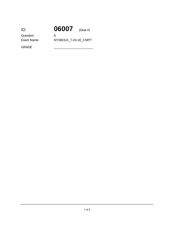| ID:        | 06007                 | $(Seat \#)$ |
|------------|-----------------------|-------------|
| Question:  | 8                     |             |
| Exam Name: | NYSBOLE 7-24-18 2-MPT |             |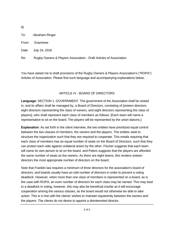8)

To: Abraham Ringer

From: Examinee

Date: July 24, 2018

Re: Rugby Owners & Players Association - Draft Articles of Association

You have asked me to draft provisions of the Rugby Owners & Players Association's ("ROPA") Articles of Association. Please find such language and accompanying explanations below.

## ARTICLE IV - BOARD OF DIRECTORS

**Language**: SECTION 1. GOVERNMENT. The government of the Association shall be vested in, and its affairs shall be managed by, a Board of Directors, consisting of [sixteen directors, eight directors representing the class of owners, and eight directors representing the class of players], who shall represent each class of members as follows: [Each team will name a representative to sit on the board. The players will be represented by the union liaisons.]

**Explanation**: As set forth in the client interview, the two entities have prioritized equal control between the two classes of members, the owners and the players. The entities seek to structure the organization such that they are required to cooperate. This entails requiring that each class of members has an equal number of seats on the Board of Directors, such that they can protect each side against unilateral action by the other. Fischer suggests that each team will name its own person to sit on the board, and Peters suggests that the players are afforded the same number of seats as the owners. As there are eight teams, this renders sixteen directors the most appropriate number of directors on the board.

Note that Franklin law requires a minimum of three directors for the association's board of directors, and boards usually have an odd number of directors in order to prevent a voting deadlock. However, when more than one class of members is represented on a board, as is the case with ROPA, an even number of directors for each class may be named. This may lead to a deadlock in voting, however, this may also be beneficial insofar as it will encourage cooperation among the various classes, as the board would not otherwise be able to take action. This is in line with the clients' wishes to maintain equanimity between the owners and the players. The clients do not desire to appoint a disinterested director.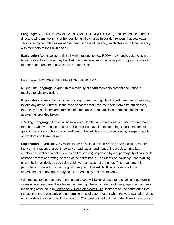**Language**: SECTION 5. VACANCY IN BOARD OF DIRECTORS. [Each seat on the board of directors will continue in his or her position until a change in position renders that seat vacant. This will apply to both classes of members. In case of vacancy, each class will fill the vacancy with members of their own class.]

**Explanation**: We have some flexibility with respect to how ROPA may handle vacancies in the board of directors. These may be filled in a number of ways, including allowing each class of members or directors to fill vacancies in that class.

## **Language**: SECTION 6. MEETINGS OF THE BOARD.

b. Quorum: **Language**: A quorum of a majority of board members present and voting is required to take any action.

**Explanation**: Franklin law provides that a quorum of a majority of board members is necesary to take any action. Further, in the case of boards that have members from different classes, there may be additional requirements of attendance to ensure class representation in the quorum, as provided below.

c. Voting: **Language**: A vote will be invalidated for the lack of a quorum in cases where board members, who were once present at the meeting, have left the meeting. Certain matters of great importance, such as the amendment of the articles, must be passed by a supermajority of two-thirds of those present.

**Explanation**: Boards may, by resolution or provisions in their Articles of Association, require that certain matters of great importance (such as amendment of the articles, hiring key employees, or allocation of revenues and expenses) be passed by a supermajority of two-thirds of those present and voting, or even of the entire board. The clients acknowledge that requiring unanimity is not ideal, as each side could veto an action of the other. This requirement is particularly in line with the clients' goal of requiring that Article III, which deals with the apportionment of revenues, may not be amended by a simple majority.

With respect to the requirement that a board vote will be invalidated for the lack of a quorum in cases where board members leave the meeting, I have included such language to encompass the finding of the court in Schraeder v. Recording Acts Guild. In that case, the court found that the fact that there was only one performing artist director present when the vote was taken does not invalidate the vote for lack of a quorum. The court pointed out that under Franklin law, once

a quorum is present for a board meeting, it continues to exist for the meeting, it continues to exist for the  $\alpha$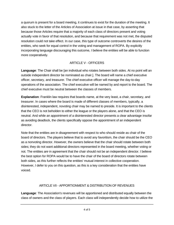a quorum is present for a board meeting, it continues to exist for the duration of the meeting. It also stuck to the letter of the Articles of Association at issue in that case, by asserting that because those Articles require that a majority of each class of directors present and voting actually vote in favor of that resolution, and because that requirement was not met, the disputed resolution could not take effect. In our case, this type of outcome controverts the desires of the entities, who seek for equal control in the voting and management of ROPA. By explicitly incorporating language discouraging this outcome, I believe the entities will be able to function more cooperatively.

# ARTICLE V - OFFICERS

**Language**: The Chair shall be [an individual who rotates between both sides. At no point will an outside independent director be nominated as chair.]. The board will name a chief executive officer, secretary, and treasurer. The chief executive officer will manage the day-to-day operations of the association. The chief executive will be named by and report to the board. The chief executive must be neutral between the classes of members.

**Explanation**: Franklin law requires that boards name, at the very least, a chair, secretary, and treasurer. In cases where the board is made of different classes of members, typically, a disinterested, independent, novoting chair may be named to preside. It is important to the clients that the CEO is not beholden to either the league or the players alone, and that the CEO is neutral. And while an appointment of a disinterested director presents a clear advantage insofar as avoiding deadlock, the clients specifically oppose the appointment of an independent director.

Note that the entities are in disagreement with respect to who should reside as chair of the board of directors. The players believe that to avoid any favoritism, the chair should be the CEO as a nonvoting director. However, the owners believe that the chair should rotate between both sides; they do not want additional directors represented in the board meeting, whether voting or not. The entities *are* in agreement that the chair should not be an independent director. I believe the best option for ROPA would be to have the chair of the board of directors rotate between both sides, as this further reflects the entities' mutual interest in collective cooperation. However, I defer to you on this question, as this is a key consideration that the entities have voiced.

# ARTICLE VII - APPORTIONMENT & DISTRIBUTION OF REVENUES

**Language**: The Association's revenues will be apportioned and distributed equally between the class of owners and the class of players. Each class will independently decide how to utilize the

revenues thereafter.